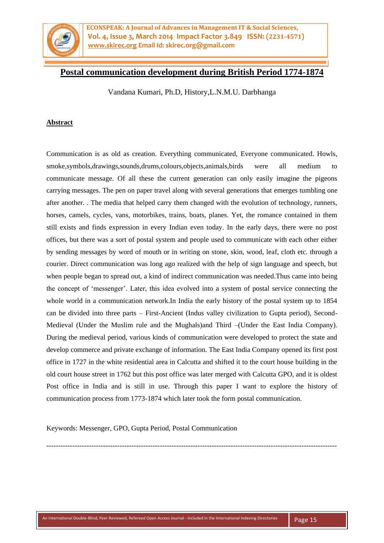

**ECONSPEAK: A Journal of Advances in Management IT & Social Sciences, Vol. 4, Issue 3, March 2014 Impact Factor 3.849 ISSN: (2231-4571) [www.skirec.org](http://www.skirec.org/) Email Id: skirec.org@gmail.com**

# **Postal communication development during British Period 1774-1874**

Vandana Kumari, Ph.D, History,L.N.M.U. Darbhanga

#### **Abstract**

Communication is as old as creation. Everything communicated, Everyone communicated. Howls, smoke,symbols,drawings,sounds,drums,colours,objects,animals,birds were all medium to communicate message. Of all these the current generation can only easily imagine the pigeons carrying messages. The pen on paper travel along with several generations that emerges tumbling one after another. . The media that helped carry them changed with the evolution of technology, runners, horses, camels, cycles, vans, motorbikes, trains, boats, planes. Yet, the romance contained in them still exists and finds expression in every Indian even today. In the early days, there were no post offices, but there was a sort of postal system and people used to communicate with each other either by sending messages by word of mouth or in writing on stone, skin, wood, leaf, cloth etc. through a courier. Direct communication was long ago realized with the help of sign language and speech, but when people began to spread out, a kind of indirect communication was needed.Thus came into being the concept of 'messenger'. Later, this idea evolved into a system of postal service connecting the whole world in a communication network.In India the early history of the postal system up to 1854 can be divided into three parts – First-Ancient (Indus valley civilization to Gupta period), Second-Medieval (Under the Muslim rule and the Mughals)and Third –(Under the East India Company). During the medieval period, various kinds of communication were developed to protect the state and develop commerce and private exchange of information. The East India Company opened its first post office in 1727 in the white residential area in Calcutta and shifted it to the court house building in the old court house street in 1762 but this post office was later merged with Calcutta GPO, and it is oldest Post office in India and is still in use. Through this paper I want to explore the history of communication process from 1773-1874 which later took the form postal communication.

Keywords: Messenger, GPO, Gupta Period, Postal Communication

---------------------------------------------------------------------------------------------------------------------------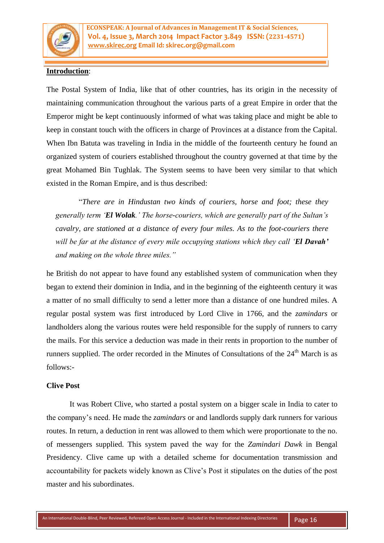

# **Introduction**:

The Postal System of India, like that of other countries, has its origin in the necessity of maintaining communication throughout the various parts of a great Empire in order that the Emperor might be kept continuously informed of what was taking place and might be able to keep in constant touch with the officers in charge of Provinces at a distance from the Capital. When Ibn Batuta was traveling in India in the middle of the fourteenth century he found an organized system of couriers established throughout the country governed at that time by the great Mohamed Bin Tughlak. The System seems to have been very similar to that which existed in the Roman Empire, and is thus described:

"*There are in Hindustan two kinds of couriers, horse and foot; these they generally term 'El Wolak.' The horse-couriers, which are generally part of the Sultan's cavalry, are stationed at a distance of every four miles. As to the foot-couriers there will be far at the distance of every mile occupying stations which they call 'El Davah' and making on the whole three miles."*

he British do not appear to have found any established system of communication when they began to extend their dominion in India, and in the beginning of the eighteenth century it was a matter of no small difficulty to send a letter more than a distance of one hundred miles. A regular postal system was first introduced by Lord Clive in 1766, and the *zamindars* or landholders along the various routes were held responsible for the supply of runners to carry the mails. For this service a deduction was made in their rents in proportion to the number of runners supplied. The order recorded in the Minutes of Consultations of the  $24<sup>th</sup>$  March is as follows:-

#### **Clive Post**

It was Robert Clive, who started a postal system on a bigger scale in India to cater to the company's need. He made the *zamindars* or and landlords supply dark runners for various routes. In return, a deduction in rent was allowed to them which were proportionate to the no. of messengers supplied. This system paved the way for the *Zamindari Dawk* in Bengal Presidency. Clive came up with a detailed scheme for documentation transmission and accountability for packets widely known as Clive's Post it stipulates on the duties of the post master and his subordinates.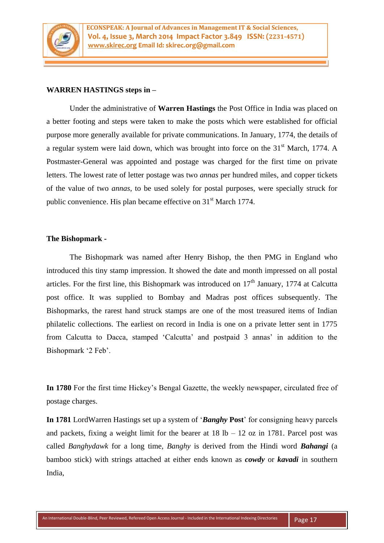

#### **WARREN HASTINGS steps in –**

Under the administrative of **Warren Hastings** the Post Office in India was placed on a better footing and steps were taken to make the posts which were established for official purpose more generally available for private communications. In January, 1774, the details of a regular system were laid down, which was brought into force on the 31<sup>st</sup> March, 1774. A Postmaster-General was appointed and postage was charged for the first time on private letters. The lowest rate of letter postage was two *annas* per hundred miles, and copper tickets of the value of two *annas*, to be used solely for postal purposes, were specially struck for public convenience. His plan became effective on 31<sup>st</sup> March 1774.

#### **The Bishopmark -**

The Bishopmark was named after Henry Bishop, the then PMG in England who introduced this tiny stamp impression. It showed the date and month impressed on all postal articles. For the first line, this Bishopmark was introduced on  $17<sup>th</sup>$  January, 1774 at Calcutta post office. It was supplied to Bombay and Madras post offices subsequently. The Bishopmarks, the rarest hand struck stamps are one of the most treasured items of Indian philatelic collections. The earliest on record in India is one on a private letter sent in 1775 from Calcutta to Dacca, stamped 'Calcutta' and postpaid 3 annas' in addition to the Bishopmark '2 Feb'.

**In 1780** For the first time Hickey's Bengal Gazette, the weekly newspaper, circulated free of postage charges.

**In 1781** LordWarren Hastings set up a system of '*Banghy* **Post**' for consigning heavy parcels and packets, fixing a weight limit for the bearer at  $18 lb - 12 oz$  in 1781. Parcel post was called *Banghydawk* for a long time, *Banghy* is derived from the Hindi word *Bahangi* (a bamboo stick) with strings attached at either ends known as *cowdy* or *kavadi* in southern India,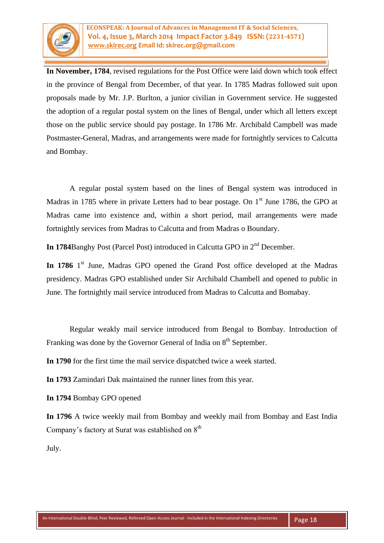

**In November, 1784**, revised regulations for the Post Office were laid down which took effect in the province of Bengal from December, of that year. In 1785 Madras followed suit upon proposals made by Mr. J.P. Burlton, a junior civilian in Government service. He suggested the adoption of a regular postal system on the lines of Bengal, under which all letters except those on the public service should pay postage. In 1786 Mr. Archibald Campbell was made Postmaster-General, Madras, and arrangements were made for fortnightly services to Calcutta and Bombay.

A regular postal system based on the lines of Bengal system was introduced in Madras in 1785 where in private Letters had to bear postage. On  $1<sup>st</sup>$  June 1786, the GPO at Madras came into existence and, within a short period, mail arrangements were made fortnightly services from Madras to Calcutta and from Madras o Boundary.

**In 1784**Banghy Post (Parcel Post) introduced in Calcutta GPO in 2<sup>nd</sup> December.

In 1786 1<sup>st</sup> June, Madras GPO opened the Grand Post office developed at the Madras presidency. Madras GPO established under Sir Archibald Chambell and opened to public in June. The fortnightly mail service introduced from Madras to Calcutta and Bomabay.

Regular weakly mail service introduced from Bengal to Bombay. Introduction of Franking was done by the Governor General of India on  $8<sup>th</sup>$  September.

**In 1790** for the first time the mail service dispatched twice a week started.

**In 1793** Zamindari Dak maintained the runner lines from this year.

**In 1794** Bombay GPO opened

**In 1796** A twice weekly mail from Bombay and weekly mail from Bombay and East India Company's factory at Surat was established on  $8<sup>th</sup>$ 

July.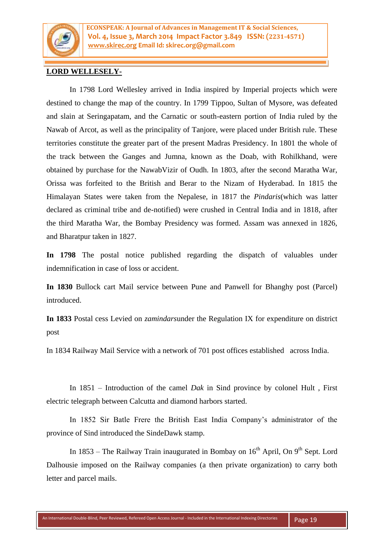

**ECONSPEAK: A Journal of Advances in Management IT & Social Sciences, Vol. 4, Issue 3, March 2014 Impact Factor 3.849 ISSN: (2231-4571) [www.skirec.org](http://www.skirec.org/) Email Id: skirec.org@gmail.com**

### **LORD WELLESELY-**

In 1798 Lord Wellesley arrived in India inspired by Imperial projects which were destined to change the map of the country. In 1799 Tippoo, Sultan of Mysore, was defeated and slain at Seringapatam, and the Carnatic or south-eastern portion of India ruled by the Nawab of Arcot, as well as the principality of Tanjore, were placed under British rule. These territories constitute the greater part of the present Madras Presidency. In 1801 the whole of the track between the Ganges and Jumna, known as the Doab, with Rohilkhand, were obtained by purchase for the NawabVizir of Oudh. In 1803, after the second Maratha War, Orissa was forfeited to the British and Berar to the Nizam of Hyderabad. In 1815 the Himalayan States were taken from the Nepalese, in 1817 the *Pindaris*(which was latter declared as criminal tribe and de-notified) were crushed in Central India and in 1818, after the third Maratha War, the Bombay Presidency was formed. Assam was annexed in 1826, and Bharatpur taken in 1827.

**In 1798** The postal notice published regarding the dispatch of valuables under indemnification in case of loss or accident.

**In 1830** Bullock cart Mail service between Pune and Panwell for Bhanghy post (Parcel) introduced.

**In 1833** Postal cess Levied on *zamindars*under the Regulation IX for expenditure on district post

In 1834 Railway Mail Service with a network of 701 post offices established across India.

In 1851 – Introduction of the camel *Dak* in Sind province by colonel Hult , First electric telegraph between Calcutta and diamond harbors started.

In 1852 Sir Batle Frere the British East India Company's administrator of the province of Sind introduced the SindeDawk stamp.

In 1853 – The Railway Train inaugurated in Bombay on  $16<sup>th</sup>$  April, On 9<sup>th</sup> Sept. Lord Dalhousie imposed on the Railway companies (a then private organization) to carry both letter and parcel mails.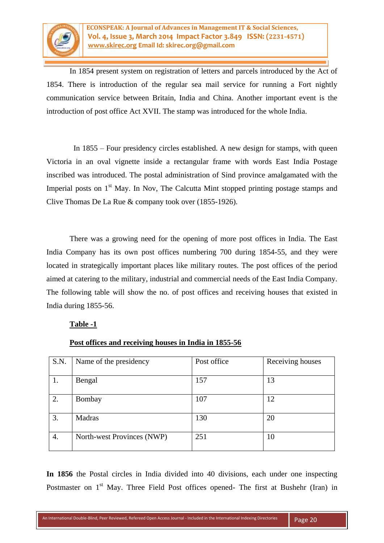

In 1854 present system on registration of letters and parcels introduced by the Act of 1854. There is introduction of the regular sea mail service for running a Fort nightly communication service between Britain, India and China. Another important event is the introduction of post office Act XVII. The stamp was introduced for the whole India.

 In 1855 – Four presidency circles established. A new design for stamps, with queen Victoria in an oval vignette inside a rectangular frame with words East India Postage inscribed was introduced. The postal administration of Sind province amalgamated with the Imperial posts on  $1<sup>st</sup>$  May. In Nov, The Calcutta Mint stopped printing postage stamps and Clive Thomas De La Rue & company took over (1855-1926).

There was a growing need for the opening of more post offices in India. The East India Company has its own post offices numbering 700 during 1854-55, and they were located in strategically important places like military routes. The post offices of the period aimed at catering to the military, industrial and commercial needs of the East India Company. The following table will show the no. of post offices and receiving houses that existed in India during 1855-56.

### **Table -1**

| S.N. | Name of the presidency     | Post office | Receiving houses |
|------|----------------------------|-------------|------------------|
| 1.   | Bengal                     | 157         | 13               |
| 2.   | Bombay                     | 107         | 12               |
| 3.   | Madras                     | 130         | 20               |
| 4.   | North-west Provinces (NWP) | 251         | 10               |

### **Post offices and receiving houses in India in 1855-56**

**In 1856** the Postal circles in India divided into 40 divisions, each under one inspecting Postmaster on 1<sup>st</sup> May. Three Field Post offices opened- The first at Bushehr (Iran) in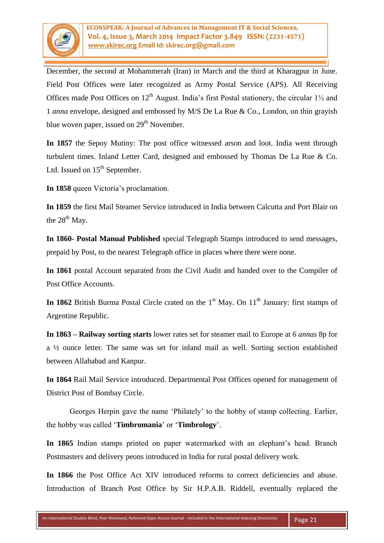

December, the second at Mohammerah (Iran) in March and the third at Kharagpur in June. Field Post Offices were later recognized as Army Postal Service (APS). All Receiving Offices made Post Offices on  $12<sup>th</sup>$  August. India's first Postal stationery, the circular  $1\frac{1}{2}$  and 1 *anna* envelope, designed and embossed by M/S De La Rue & Co., London, on thin grayish blue woven paper, issued on  $29<sup>th</sup>$  November.

**In 1857** the Sepoy Mutiny: The post office witnessed arson and loot. India went through turbulent times. Inland Letter Card, designed and embossed by Thomas De La Rue & Co. Ltd. Issued on  $15<sup>th</sup>$  September.

**In 1858** queen Victoria's proclamation.

**In 1859** the first Mail Steamer Service introduced in India between Calcutta and Port Blair on the  $28<sup>th</sup>$  May.

**In 1860- Postal Manual Published** special Telegraph Stamps introduced to send messages, prepaid by Post, to the nearest Telegraph office in places where there were none.

**In 1861** postal Account separated from the Civil Audit and handed over to the Compiler of Post Office Accounts.

In 1862 British Burma Postal Circle crated on the 1<sup>st</sup> May. On 11<sup>th</sup> January: first stamps of Argentine Republic.

**In 1863 – Railway sorting starts** lower rates set for steamer mail to Europe at 6 *annas* 8p for a ½ ounce letter. The same was set for inland mail as well. Sorting section established between Allahabad and Kanpur.

**In 1864** Rail Mail Service introduced. Departmental Post Offices opened for management of District Post of Bombay Circle.

Georges Herpin gave the name 'Philately' to the hobby of stamp collecting. Earlier, the hobby was called '**Timbromania**' or '**Timbrology**'.

**In 1865** Indian stamps printed on paper watermarked with an elephant's head. Branch Postmasters and delivery peons introduced in India for rural postal delivery work.

**In 1866** the Post Office Act XIV introduced reforms to correct deficiencies and abuse. Introduction of Branch Post Office by Sir H.P.A.B. Riddell, eventually replaced the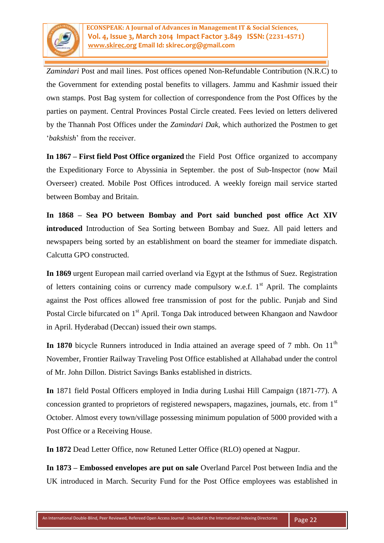

*Zamindari* Post and mail lines. Post offices opened Non-Refundable Contribution (N.R.C) to the Government for extending postal benefits to villagers. Jammu and Kashmir issued their own stamps. Post Bag system for collection of correspondence from the Post Offices by the parties on payment. Central Provinces Postal Circle created. Fees levied on letters delivered by the Thannah Post Offices under the *Zamindari Dak*, which authorized the Postmen to get '*bakshish*' from the receiver.

**In 1867 – First field Post Office organized** the Field Post Office organized to accompany the Expeditionary Force to Abyssinia in September. the post of Sub-Inspector (now Mail Overseer) created. Mobile Post Offices introduced. A weekly foreign mail service started between Bombay and Britain.

**In 1868 – Sea PO between Bombay and Port said bunched post office Act XIV introduced** Introduction of Sea Sorting between Bombay and Suez. All paid letters and newspapers being sorted by an establishment on board the steamer for immediate dispatch. Calcutta GPO constructed.

**In 1869** urgent European mail carried overland via Egypt at the Isthmus of Suez. Registration of letters containing coins or currency made compulsory w.e.f.  $1<sup>st</sup>$  April. The complaints against the Post offices allowed free transmission of post for the public. Punjab and Sind Postal Circle bifurcated on 1<sup>st</sup> April. Tonga Dak introduced between Khangaon and Nawdoor in April. Hyderabad (Deccan) issued their own stamps.

In 1870 bicycle Runners introduced in India attained an average speed of 7 mbh. On 11<sup>th</sup> November, Frontier Railway Traveling Post Office established at Allahabad under the control of Mr. John Dillon. District Savings Banks established in districts.

**In** 1871 field Postal Officers employed in India during Lushai Hill Campaign (1871-77). A concession granted to proprietors of registered newspapers, magazines, journals, etc. from 1<sup>st</sup> October. Almost every town/village possessing minimum population of 5000 provided with a Post Office or a Receiving House.

**In 1872** Dead Letter Office, now Retuned Letter Office (RLO) opened at Nagpur.

**In 1873 – Embossed envelopes are put on sale** Overland Parcel Post between India and the UK introduced in March. Security Fund for the Post Office employees was established in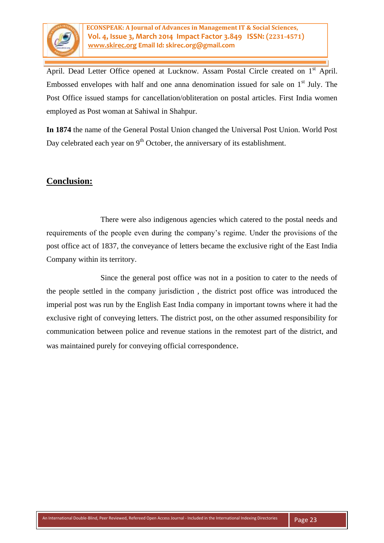

April. Dead Letter Office opened at Lucknow. Assam Postal Circle created on 1<sup>st</sup> April. Embossed envelopes with half and one anna denomination issued for sale on  $1<sup>st</sup>$  July. The Post Office issued stamps for cancellation/obliteration on postal articles. First India women employed as Post woman at Sahiwal in Shahpur.

**In 1874** the name of the General Postal Union changed the Universal Post Union. World Post Day celebrated each year on  $9<sup>th</sup>$  October, the anniversary of its establishment.

# **Conclusion:**

 There were also indigenous agencies which catered to the postal needs and requirements of the people even during the company's regime. Under the provisions of the post office act of 1837, the conveyance of letters became the exclusive right of the East India Company within its territory.

 Since the general post office was not in a position to cater to the needs of the people settled in the company jurisdiction , the district post office was introduced the imperial post was run by the English East India company in important towns where it had the exclusive right of conveying letters. The district post, on the other assumed responsibility for communication between police and revenue stations in the remotest part of the district, and was maintained purely for conveying official correspondence.